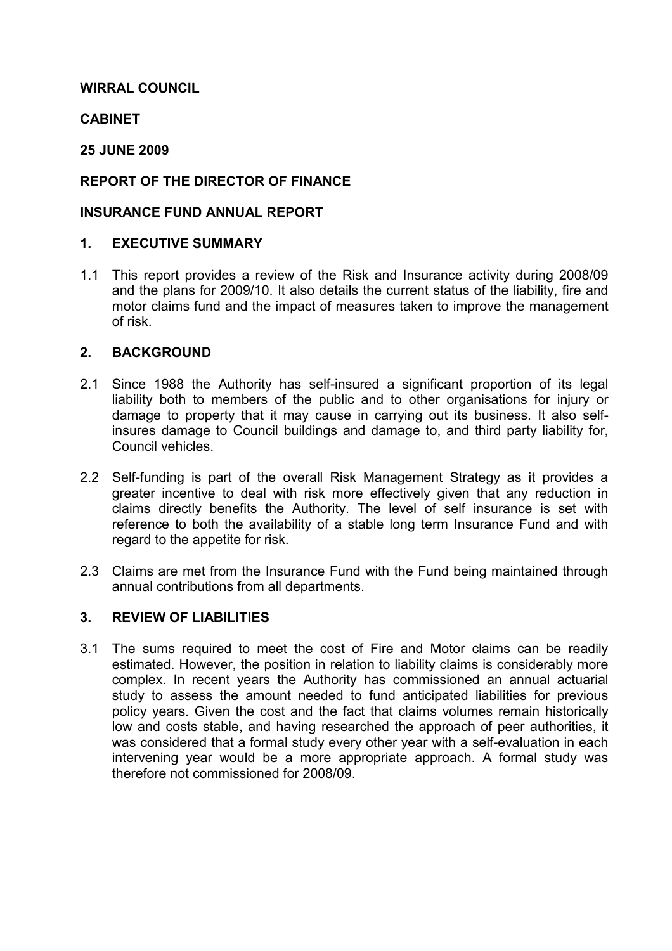## WIRRAL COUNCIL

## **CABINET**

### 25 JUNE 2009

## REPORT OF THE DIRECTOR OF FINANCE

### INSURANCE FUND ANNUAL REPORT

#### 1. EXECUTIVE SUMMARY

1.1 This report provides a review of the Risk and Insurance activity during 2008/09 and the plans for 2009/10. It also details the current status of the liability, fire and motor claims fund and the impact of measures taken to improve the management of risk.

### 2. BACKGROUND

- 2.1 Since 1988 the Authority has self-insured a significant proportion of its legal liability both to members of the public and to other organisations for injury or damage to property that it may cause in carrying out its business. It also selfinsures damage to Council buildings and damage to, and third party liability for, Council vehicles.
- 2.2 Self-funding is part of the overall Risk Management Strategy as it provides a greater incentive to deal with risk more effectively given that any reduction in claims directly benefits the Authority. The level of self insurance is set with reference to both the availability of a stable long term Insurance Fund and with regard to the appetite for risk.
- 2.3 Claims are met from the Insurance Fund with the Fund being maintained through annual contributions from all departments.

#### 3. REVIEW OF LIABILITIES

3.1 The sums required to meet the cost of Fire and Motor claims can be readily estimated. However, the position in relation to liability claims is considerably more complex. In recent years the Authority has commissioned an annual actuarial study to assess the amount needed to fund anticipated liabilities for previous policy years. Given the cost and the fact that claims volumes remain historically low and costs stable, and having researched the approach of peer authorities, it was considered that a formal study every other year with a self-evaluation in each intervening year would be a more appropriate approach. A formal study was therefore not commissioned for 2008/09.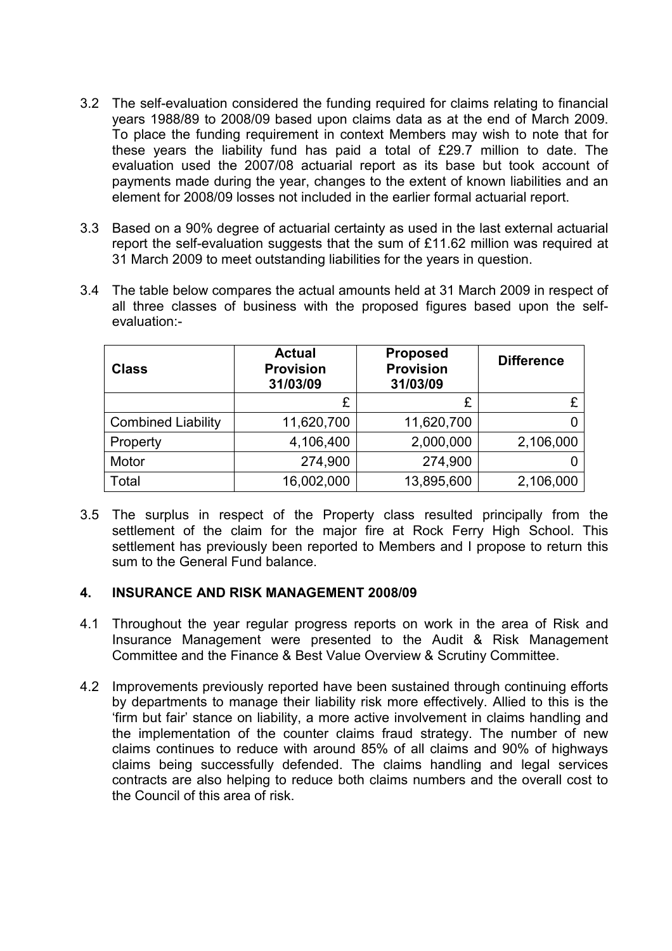- 3.2 The self-evaluation considered the funding required for claims relating to financial years 1988/89 to 2008/09 based upon claims data as at the end of March 2009. To place the funding requirement in context Members may wish to note that for these years the liability fund has paid a total of £29.7 million to date. The evaluation used the 2007/08 actuarial report as its base but took account of payments made during the year, changes to the extent of known liabilities and an element for 2008/09 losses not included in the earlier formal actuarial report.
- 3.3 Based on a 90% degree of actuarial certainty as used in the last external actuarial report the self-evaluation suggests that the sum of £11.62 million was required at 31 March 2009 to meet outstanding liabilities for the years in question.
- 3.4 The table below compares the actual amounts held at 31 March 2009 in respect of all three classes of business with the proposed figures based upon the selfevaluation:-

| <b>Class</b>              | <b>Actual</b><br><b>Provision</b><br>31/03/09 | <b>Proposed</b><br><b>Provision</b><br>31/03/09 | <b>Difference</b> |
|---------------------------|-----------------------------------------------|-------------------------------------------------|-------------------|
|                           | £                                             | £                                               |                   |
| <b>Combined Liability</b> | 11,620,700                                    | 11,620,700                                      |                   |
| Property                  | 4,106,400                                     | 2,000,000                                       | 2,106,000         |
| Motor                     | 274,900                                       | 274,900                                         |                   |
| Total                     | 16,002,000                                    | 13,895,600                                      | 2,106,000         |

3.5 The surplus in respect of the Property class resulted principally from the settlement of the claim for the major fire at Rock Ferry High School. This settlement has previously been reported to Members and I propose to return this sum to the General Fund balance.

#### 4. INSURANCE AND RISK MANAGEMENT 2008/09

- 4.1 Throughout the year regular progress reports on work in the area of Risk and Insurance Management were presented to the Audit & Risk Management Committee and the Finance & Best Value Overview & Scrutiny Committee.
- 4.2 Improvements previously reported have been sustained through continuing efforts by departments to manage their liability risk more effectively. Allied to this is the 'firm but fair' stance on liability, a more active involvement in claims handling and the implementation of the counter claims fraud strategy. The number of new claims continues to reduce with around 85% of all claims and 90% of highways claims being successfully defended. The claims handling and legal services contracts are also helping to reduce both claims numbers and the overall cost to the Council of this area of risk.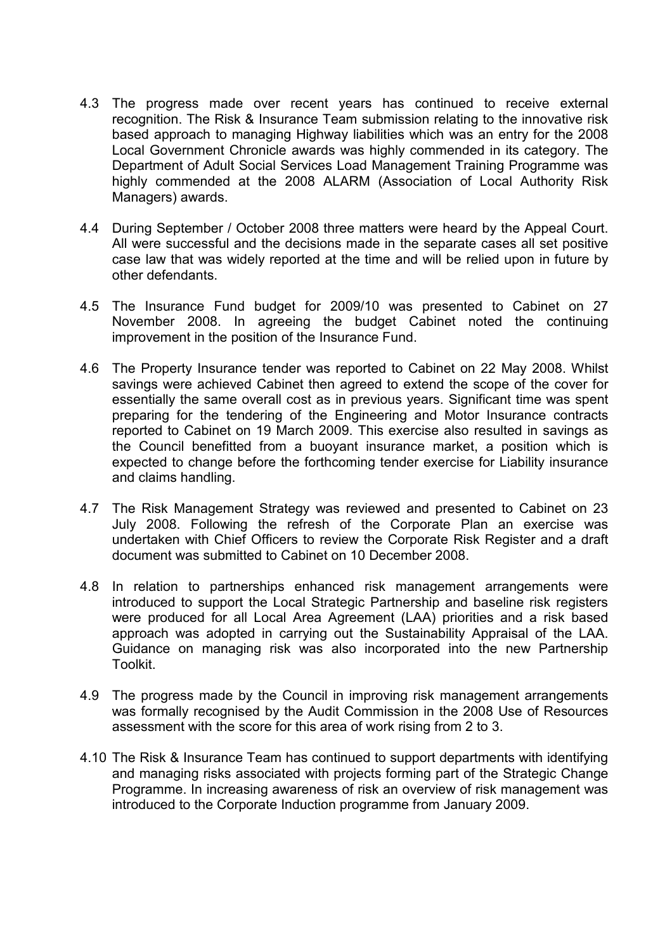- 4.3 The progress made over recent years has continued to receive external recognition. The Risk & Insurance Team submission relating to the innovative risk based approach to managing Highway liabilities which was an entry for the 2008 Local Government Chronicle awards was highly commended in its category. The Department of Adult Social Services Load Management Training Programme was highly commended at the 2008 ALARM (Association of Local Authority Risk Managers) awards.
- 4.4 During September / October 2008 three matters were heard by the Appeal Court. All were successful and the decisions made in the separate cases all set positive case law that was widely reported at the time and will be relied upon in future by other defendants.
- 4.5 The Insurance Fund budget for 2009/10 was presented to Cabinet on 27 November 2008. In agreeing the budget Cabinet noted the continuing improvement in the position of the Insurance Fund.
- 4.6 The Property Insurance tender was reported to Cabinet on 22 May 2008. Whilst savings were achieved Cabinet then agreed to extend the scope of the cover for essentially the same overall cost as in previous years. Significant time was spent preparing for the tendering of the Engineering and Motor Insurance contracts reported to Cabinet on 19 March 2009. This exercise also resulted in savings as the Council benefitted from a buoyant insurance market, a position which is expected to change before the forthcoming tender exercise for Liability insurance and claims handling.
- 4.7 The Risk Management Strategy was reviewed and presented to Cabinet on 23 July 2008. Following the refresh of the Corporate Plan an exercise was undertaken with Chief Officers to review the Corporate Risk Register and a draft document was submitted to Cabinet on 10 December 2008.
- 4.8 In relation to partnerships enhanced risk management arrangements were introduced to support the Local Strategic Partnership and baseline risk registers were produced for all Local Area Agreement (LAA) priorities and a risk based approach was adopted in carrying out the Sustainability Appraisal of the LAA. Guidance on managing risk was also incorporated into the new Partnership Toolkit.
- 4.9 The progress made by the Council in improving risk management arrangements was formally recognised by the Audit Commission in the 2008 Use of Resources assessment with the score for this area of work rising from 2 to 3.
- 4.10 The Risk & Insurance Team has continued to support departments with identifying and managing risks associated with projects forming part of the Strategic Change Programme. In increasing awareness of risk an overview of risk management was introduced to the Corporate Induction programme from January 2009.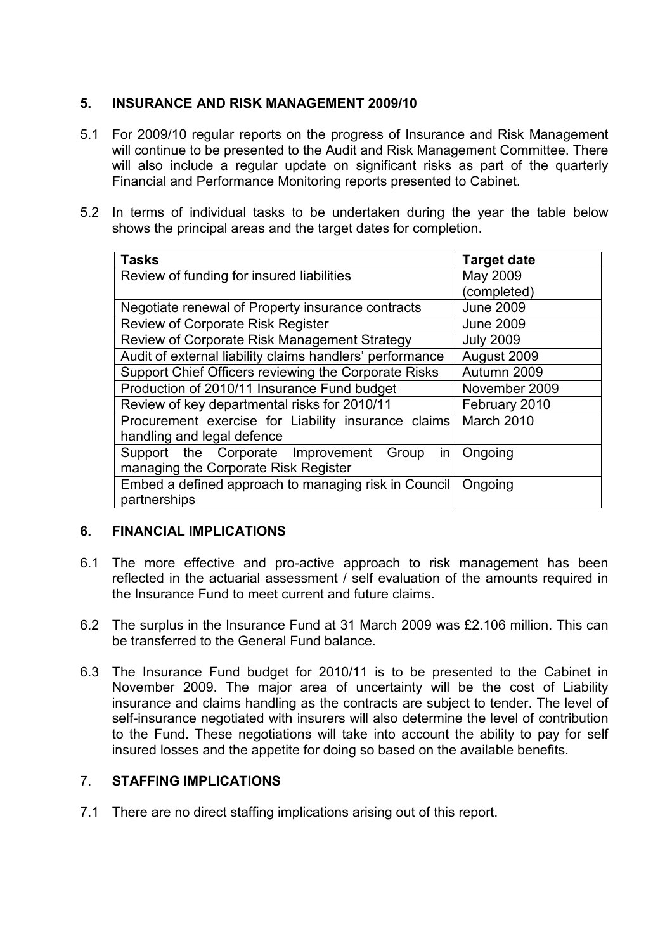## 5. INSURANCE AND RISK MANAGEMENT 2009/10

- 5.1 For 2009/10 regular reports on the progress of Insurance and Risk Management will continue to be presented to the Audit and Risk Management Committee. There will also include a regular update on significant risks as part of the quarterly Financial and Performance Monitoring reports presented to Cabinet.
- 5.2 In terms of individual tasks to be undertaken during the year the table below shows the principal areas and the target dates for completion.

| <b>Tasks</b>                                             | <b>Target date</b> |
|----------------------------------------------------------|--------------------|
| Review of funding for insured liabilities                | May 2009           |
|                                                          | (completed)        |
| Negotiate renewal of Property insurance contracts        | <b>June 2009</b>   |
| <b>Review of Corporate Risk Register</b>                 | <b>June 2009</b>   |
| Review of Corporate Risk Management Strategy             | <b>July 2009</b>   |
| Audit of external liability claims handlers' performance | August 2009        |
| Support Chief Officers reviewing the Corporate Risks     | Autumn 2009        |
| Production of 2010/11 Insurance Fund budget              | November 2009      |
| Review of key departmental risks for 2010/11             | February 2010      |
| Procurement exercise for Liability insurance claims      | March 2010         |
| handling and legal defence                               |                    |
| Support the Corporate Improvement<br>in<br>Group         | Ongoing            |
| managing the Corporate Risk Register                     |                    |
| Embed a defined approach to managing risk in Council     | Ongoing            |
| partnerships                                             |                    |

## 6. FINANCIAL IMPLICATIONS

- 6.1 The more effective and pro-active approach to risk management has been reflected in the actuarial assessment / self evaluation of the amounts required in the Insurance Fund to meet current and future claims.
- 6.2 The surplus in the Insurance Fund at 31 March 2009 was £2.106 million. This can be transferred to the General Fund balance.
- 6.3 The Insurance Fund budget for 2010/11 is to be presented to the Cabinet in November 2009. The major area of uncertainty will be the cost of Liability insurance and claims handling as the contracts are subject to tender. The level of self-insurance negotiated with insurers will also determine the level of contribution to the Fund. These negotiations will take into account the ability to pay for self insured losses and the appetite for doing so based on the available benefits.

## 7. STAFFING IMPLICATIONS

7.1 There are no direct staffing implications arising out of this report.